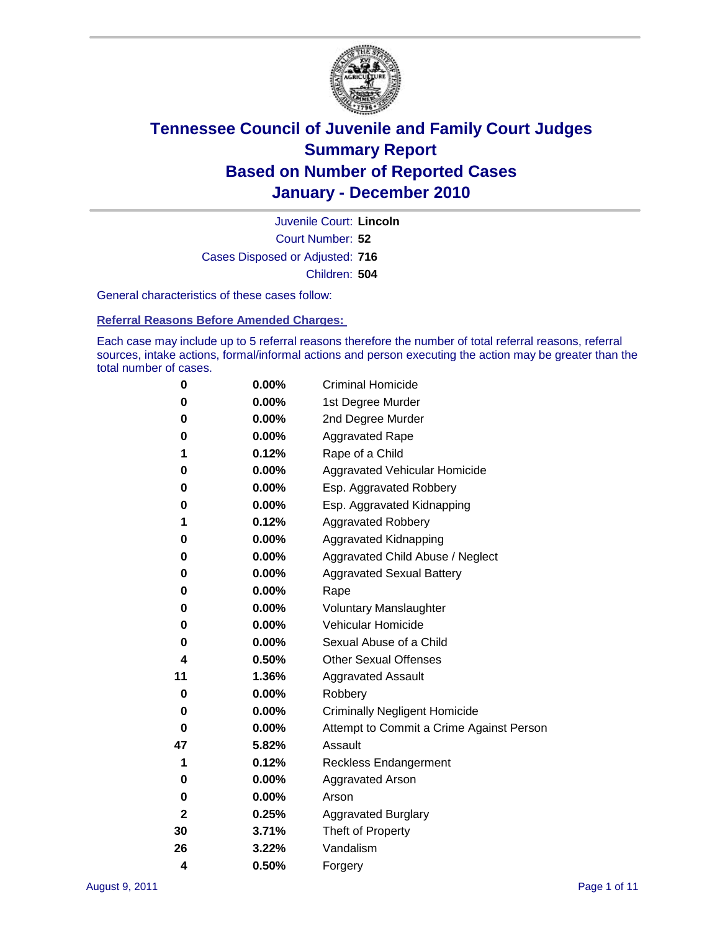

Court Number: **52** Juvenile Court: **Lincoln** Cases Disposed or Adjusted: **716** Children: **504**

General characteristics of these cases follow:

**Referral Reasons Before Amended Charges:** 

Each case may include up to 5 referral reasons therefore the number of total referral reasons, referral sources, intake actions, formal/informal actions and person executing the action may be greater than the total number of cases.

| 0  | 0.00%    | <b>Criminal Homicide</b>                 |
|----|----------|------------------------------------------|
| 0  | 0.00%    | 1st Degree Murder                        |
| 0  | 0.00%    | 2nd Degree Murder                        |
| 0  | 0.00%    | <b>Aggravated Rape</b>                   |
| 1  | 0.12%    | Rape of a Child                          |
| 0  | 0.00%    | Aggravated Vehicular Homicide            |
| 0  | 0.00%    | Esp. Aggravated Robbery                  |
| 0  | 0.00%    | Esp. Aggravated Kidnapping               |
| 1  | 0.12%    | <b>Aggravated Robbery</b>                |
| 0  | 0.00%    | Aggravated Kidnapping                    |
| 0  | 0.00%    | Aggravated Child Abuse / Neglect         |
| 0  | $0.00\%$ | <b>Aggravated Sexual Battery</b>         |
| 0  | 0.00%    | Rape                                     |
| 0  | $0.00\%$ | <b>Voluntary Manslaughter</b>            |
| 0  | 0.00%    | Vehicular Homicide                       |
| 0  | 0.00%    | Sexual Abuse of a Child                  |
| 4  | 0.50%    | <b>Other Sexual Offenses</b>             |
| 11 | 1.36%    | <b>Aggravated Assault</b>                |
| 0  | $0.00\%$ | Robbery                                  |
| 0  | 0.00%    | <b>Criminally Negligent Homicide</b>     |
| 0  | 0.00%    | Attempt to Commit a Crime Against Person |
| 47 | 5.82%    | Assault                                  |
| 1  | 0.12%    | <b>Reckless Endangerment</b>             |
| 0  | 0.00%    | <b>Aggravated Arson</b>                  |
| 0  | 0.00%    | Arson                                    |
| 2  | 0.25%    | <b>Aggravated Burglary</b>               |
| 30 | 3.71%    | Theft of Property                        |
| 26 | 3.22%    | Vandalism                                |
| 4  | 0.50%    | Forgery                                  |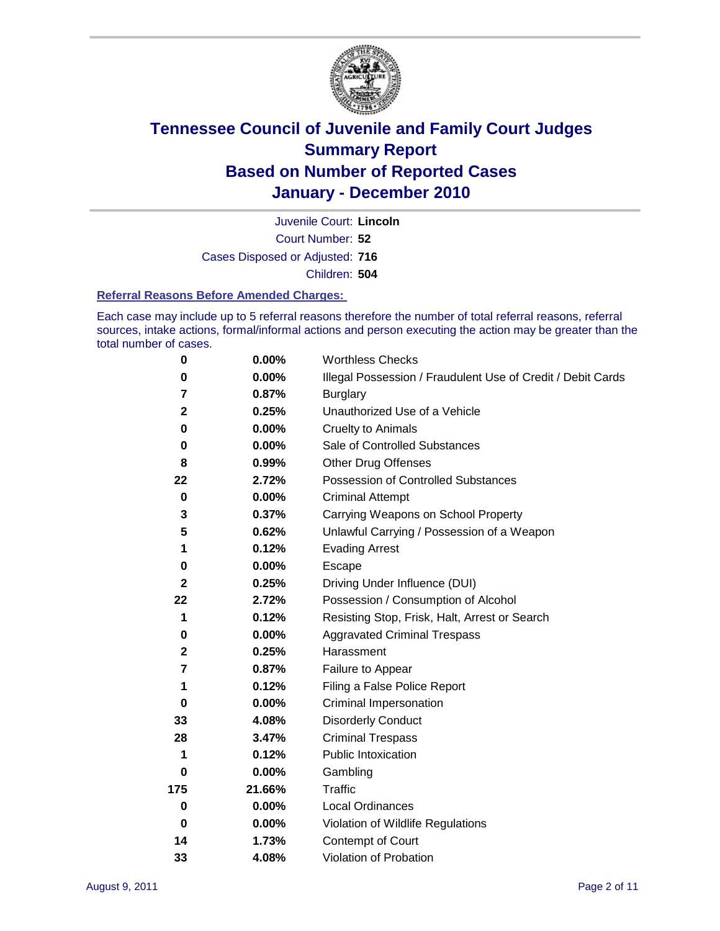

Court Number: **52** Juvenile Court: **Lincoln** Cases Disposed or Adjusted: **716** Children: **504**

#### **Referral Reasons Before Amended Charges:**

Each case may include up to 5 referral reasons therefore the number of total referral reasons, referral sources, intake actions, formal/informal actions and person executing the action may be greater than the total number of cases.

| $\pmb{0}$               | 0.00%    | <b>Worthless Checks</b>                                     |
|-------------------------|----------|-------------------------------------------------------------|
| 0                       | 0.00%    | Illegal Possession / Fraudulent Use of Credit / Debit Cards |
| 7                       | 0.87%    | <b>Burglary</b>                                             |
| $\mathbf{2}$            | 0.25%    | Unauthorized Use of a Vehicle                               |
| 0                       | $0.00\%$ | <b>Cruelty to Animals</b>                                   |
| $\bf{0}$                | 0.00%    | Sale of Controlled Substances                               |
| 8                       | 0.99%    | <b>Other Drug Offenses</b>                                  |
| 22                      | 2.72%    | Possession of Controlled Substances                         |
| $\mathbf 0$             | $0.00\%$ | <b>Criminal Attempt</b>                                     |
| 3                       | 0.37%    | Carrying Weapons on School Property                         |
| 5                       | 0.62%    | Unlawful Carrying / Possession of a Weapon                  |
| 1                       | 0.12%    | <b>Evading Arrest</b>                                       |
| 0                       | $0.00\%$ | Escape                                                      |
| $\mathbf{2}$            | 0.25%    | Driving Under Influence (DUI)                               |
| 22                      | 2.72%    | Possession / Consumption of Alcohol                         |
| 1                       | 0.12%    | Resisting Stop, Frisk, Halt, Arrest or Search               |
| 0                       | $0.00\%$ | <b>Aggravated Criminal Trespass</b>                         |
| $\mathbf 2$             | 0.25%    | Harassment                                                  |
| $\overline{\mathbf{r}}$ | 0.87%    | Failure to Appear                                           |
| 1                       | 0.12%    | Filing a False Police Report                                |
| 0                       | 0.00%    | Criminal Impersonation                                      |
| 33                      | 4.08%    | <b>Disorderly Conduct</b>                                   |
| 28                      | 3.47%    | <b>Criminal Trespass</b>                                    |
| 1                       | 0.12%    | <b>Public Intoxication</b>                                  |
| 0                       | $0.00\%$ | Gambling                                                    |
| 175                     | 21.66%   | <b>Traffic</b>                                              |
| 0                       | $0.00\%$ | Local Ordinances                                            |
| $\mathbf 0$             | 0.00%    | Violation of Wildlife Regulations                           |
| 14                      | 1.73%    | Contempt of Court                                           |
| 33                      | 4.08%    | Violation of Probation                                      |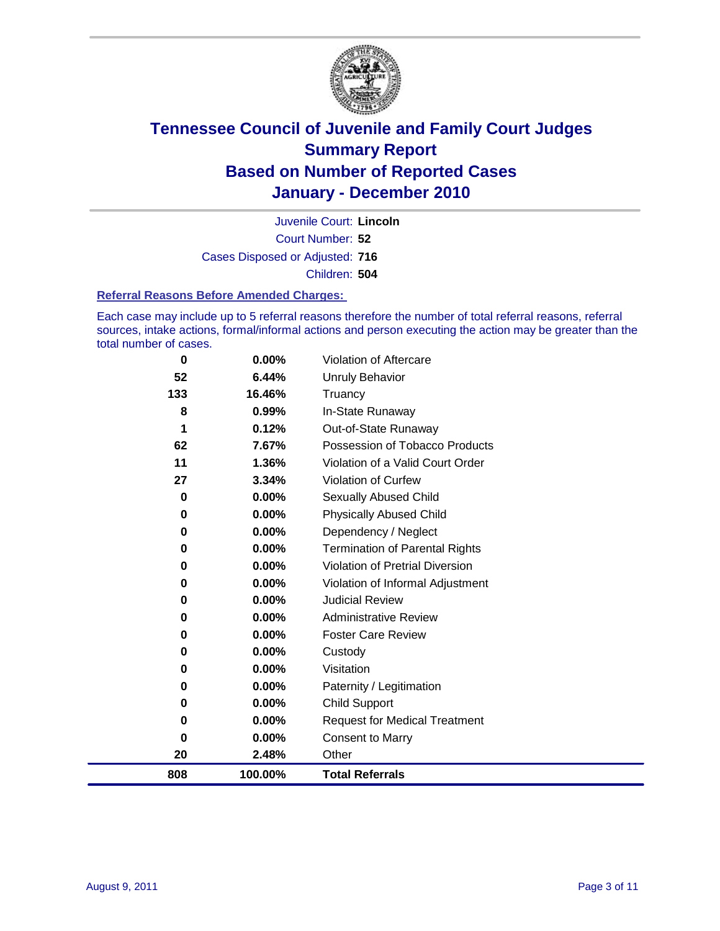

Court Number: **52** Juvenile Court: **Lincoln** Cases Disposed or Adjusted: **716** Children: **504**

#### **Referral Reasons Before Amended Charges:**

Each case may include up to 5 referral reasons therefore the number of total referral reasons, referral sources, intake actions, formal/informal actions and person executing the action may be greater than the total number of cases.

| 0   | 0.00%    | Violation of Aftercare                 |
|-----|----------|----------------------------------------|
| 52  | 6.44%    | Unruly Behavior                        |
| 133 | 16.46%   | Truancy                                |
| 8   | 0.99%    | In-State Runaway                       |
| 1   | 0.12%    | Out-of-State Runaway                   |
| 62  | 7.67%    | Possession of Tobacco Products         |
| 11  | 1.36%    | Violation of a Valid Court Order       |
| 27  | 3.34%    | <b>Violation of Curfew</b>             |
| 0   | $0.00\%$ | <b>Sexually Abused Child</b>           |
| 0   | 0.00%    | <b>Physically Abused Child</b>         |
| 0   | $0.00\%$ | Dependency / Neglect                   |
| 0   | 0.00%    | <b>Termination of Parental Rights</b>  |
| 0   | $0.00\%$ | <b>Violation of Pretrial Diversion</b> |
| 0   | 0.00%    | Violation of Informal Adjustment       |
| 0   | $0.00\%$ | <b>Judicial Review</b>                 |
| 0   | $0.00\%$ | <b>Administrative Review</b>           |
| 0   | $0.00\%$ | <b>Foster Care Review</b>              |
| 0   | $0.00\%$ | Custody                                |
| 0   | $0.00\%$ | Visitation                             |
| 0   | $0.00\%$ | Paternity / Legitimation               |
| 0   | 0.00%    | <b>Child Support</b>                   |
| 0   | $0.00\%$ | <b>Request for Medical Treatment</b>   |
| 0   | 0.00%    | <b>Consent to Marry</b>                |
| 20  | 2.48%    | Other                                  |
| 808 | 100.00%  | <b>Total Referrals</b>                 |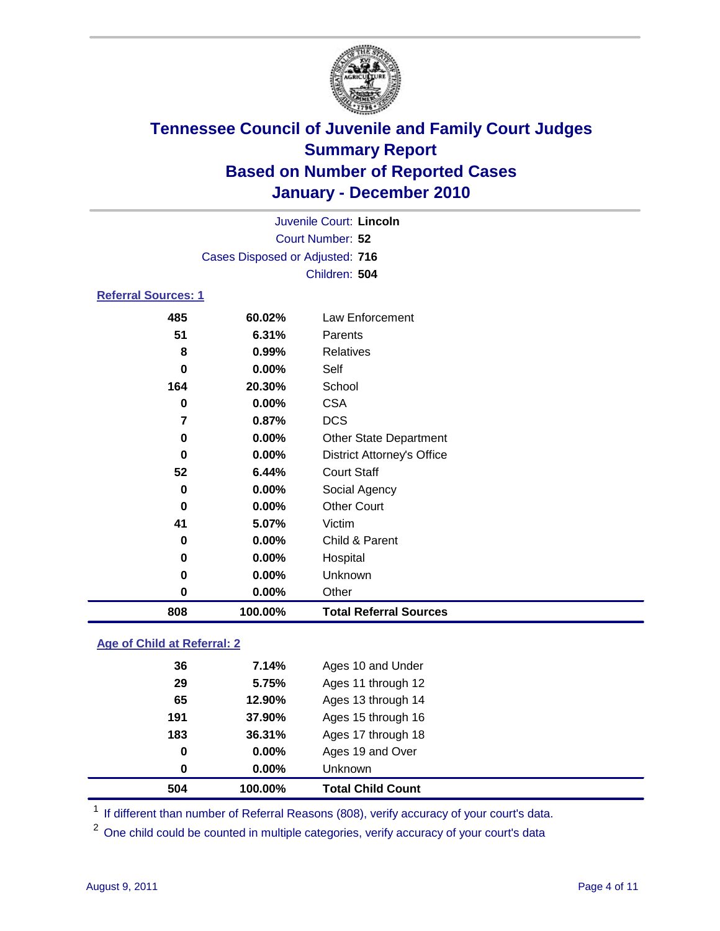

| 808                        | 100.00%                         | <b>Total Referral Sources</b>     |  |
|----------------------------|---------------------------------|-----------------------------------|--|
| 0                          | 0.00%                           | Other                             |  |
| 0                          | 0.00%                           | Unknown                           |  |
| 0                          | 0.00%                           | Hospital                          |  |
| 0                          | 0.00%                           | Child & Parent                    |  |
| 41                         | 5.07%                           | Victim                            |  |
| 0                          | 0.00%                           | <b>Other Court</b>                |  |
| 0                          | 0.00%                           | Social Agency                     |  |
| 52                         | 6.44%                           | <b>Court Staff</b>                |  |
| $\bf{0}$                   | 0.00%                           | <b>District Attorney's Office</b> |  |
| 0                          | $0.00\%$                        | <b>Other State Department</b>     |  |
| 7                          | 0.87%                           | <b>DCS</b>                        |  |
| $\bf{0}$                   | 0.00%                           | <b>CSA</b>                        |  |
| 164                        | 20.30%                          | School                            |  |
| 0                          | 0.00%                           | Self                              |  |
| 8                          | 0.99%                           | <b>Relatives</b>                  |  |
| 51                         | 6.31%                           | Parents                           |  |
| 485                        | 60.02%                          | Law Enforcement                   |  |
| <b>Referral Sources: 1</b> |                                 |                                   |  |
|                            |                                 | Children: 504                     |  |
|                            | Cases Disposed or Adjusted: 716 |                                   |  |
|                            |                                 | Court Number: 52                  |  |
|                            |                                 | Juvenile Court: Lincoln           |  |
|                            |                                 |                                   |  |

### **Age of Child at Referral: 2**

|     |          | <b>Total Child Count</b> |
|-----|----------|--------------------------|
| 0   | $0.00\%$ | <b>Unknown</b>           |
| 0   | 0.00%    | Ages 19 and Over         |
| 183 | 36.31%   | Ages 17 through 18       |
| 191 | 37.90%   | Ages 15 through 16       |
| 65  | 12.90%   | Ages 13 through 14       |
| 29  | 5.75%    | Ages 11 through 12       |
| 36  | 7.14%    | Ages 10 and Under        |
|     |          | 504<br>100.00%           |

<sup>1</sup> If different than number of Referral Reasons (808), verify accuracy of your court's data.

<sup>2</sup> One child could be counted in multiple categories, verify accuracy of your court's data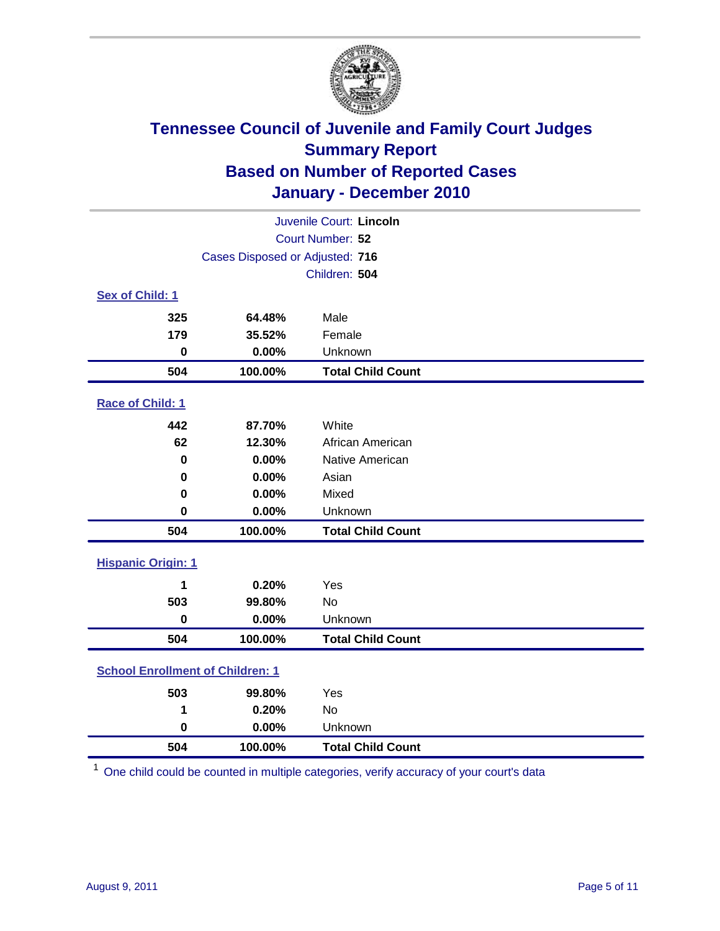

| Juvenile Court: Lincoln                    |                                 |                          |  |  |  |
|--------------------------------------------|---------------------------------|--------------------------|--|--|--|
|                                            | Court Number: 52                |                          |  |  |  |
|                                            | Cases Disposed or Adjusted: 716 |                          |  |  |  |
|                                            |                                 | Children: 504            |  |  |  |
| Sex of Child: 1                            |                                 |                          |  |  |  |
| 325                                        | 64.48%                          | Male                     |  |  |  |
| 179                                        | 35.52%                          | Female                   |  |  |  |
| $\mathbf 0$                                | 0.00%                           | Unknown                  |  |  |  |
| 504                                        | 100.00%                         | <b>Total Child Count</b> |  |  |  |
| Race of Child: 1                           |                                 |                          |  |  |  |
| 442                                        | 87.70%                          | White                    |  |  |  |
| 62                                         | 12.30%                          | African American         |  |  |  |
| $\mathbf 0$                                | 0.00%                           | Native American          |  |  |  |
| 0                                          | 0.00%                           | Asian                    |  |  |  |
| 0                                          | 0.00%                           | Mixed                    |  |  |  |
| $\mathbf 0$                                | 0.00%                           | Unknown                  |  |  |  |
| 504                                        | 100.00%                         | <b>Total Child Count</b> |  |  |  |
| <b>Hispanic Origin: 1</b>                  |                                 |                          |  |  |  |
| 1                                          | 0.20%                           | Yes                      |  |  |  |
| 503                                        | 99.80%                          | No                       |  |  |  |
| $\mathbf 0$                                | 0.00%                           | Unknown                  |  |  |  |
| 504                                        | 100.00%                         | <b>Total Child Count</b> |  |  |  |
| <b>School Enrollment of Children: 1</b>    |                                 |                          |  |  |  |
| 503                                        | 99.80%                          | Yes                      |  |  |  |
| 1                                          | 0.20%                           | <b>No</b>                |  |  |  |
| $\mathbf 0$                                | 0.00%                           | Unknown                  |  |  |  |
| 504<br><b>Total Child Count</b><br>100.00% |                                 |                          |  |  |  |

One child could be counted in multiple categories, verify accuracy of your court's data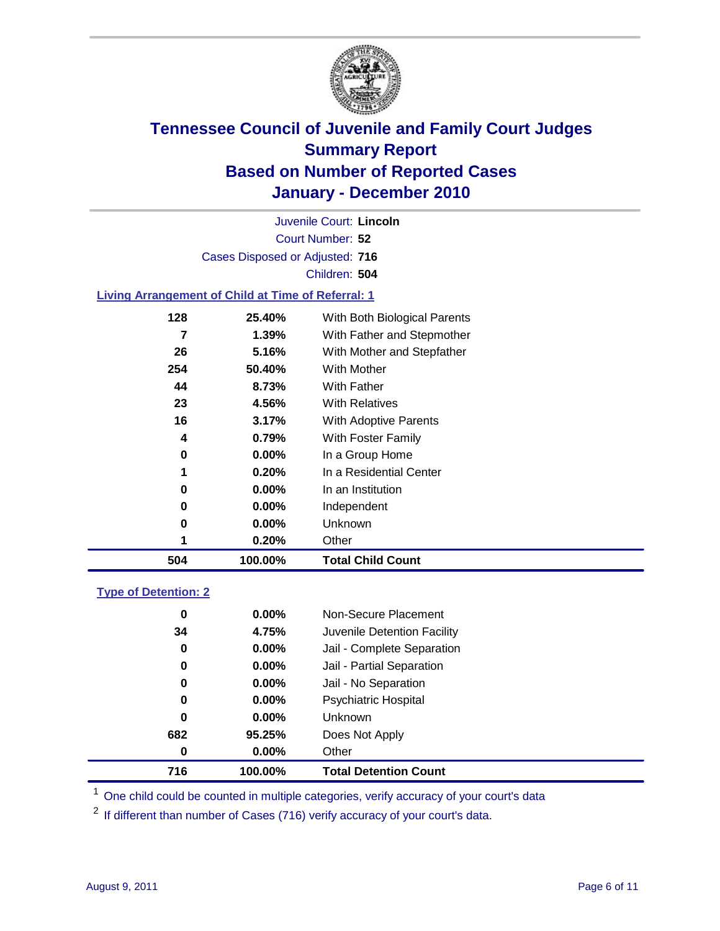

Court Number: **52** Juvenile Court: **Lincoln** Cases Disposed or Adjusted: **716** Children: **504**

#### **Living Arrangement of Child at Time of Referral: 1**

| 504 | 100.00%  | <b>Total Child Count</b>     |
|-----|----------|------------------------------|
| 1   | 0.20%    | Other                        |
| 0   | 0.00%    | Unknown                      |
| 0   | $0.00\%$ | Independent                  |
| 0   | 0.00%    | In an Institution            |
| 1   | 0.20%    | In a Residential Center      |
| 0   | 0.00%    | In a Group Home              |
| 4   | 0.79%    | With Foster Family           |
| 16  | 3.17%    | With Adoptive Parents        |
| 23  | 4.56%    | <b>With Relatives</b>        |
| 44  | 8.73%    | With Father                  |
| 254 | 50.40%   | With Mother                  |
| 26  | 5.16%    | With Mother and Stepfather   |
| 7   | 1.39%    | With Father and Stepmother   |
| 128 | 25.40%   | With Both Biological Parents |
|     |          |                              |

#### **Type of Detention: 2**

| 716      | 100.00%  | <b>Total Detention Count</b> |  |
|----------|----------|------------------------------|--|
| $\bf{0}$ | 0.00%    | Other                        |  |
| 682      | 95.25%   | Does Not Apply               |  |
| 0        | $0.00\%$ | Unknown                      |  |
| 0        | $0.00\%$ | Psychiatric Hospital         |  |
| 0        | 0.00%    | Jail - No Separation         |  |
| 0        | $0.00\%$ | Jail - Partial Separation    |  |
| 0        | $0.00\%$ | Jail - Complete Separation   |  |
| 34       | 4.75%    | Juvenile Detention Facility  |  |
| 0        | $0.00\%$ | Non-Secure Placement         |  |
|          |          |                              |  |

<sup>1</sup> One child could be counted in multiple categories, verify accuracy of your court's data

<sup>2</sup> If different than number of Cases (716) verify accuracy of your court's data.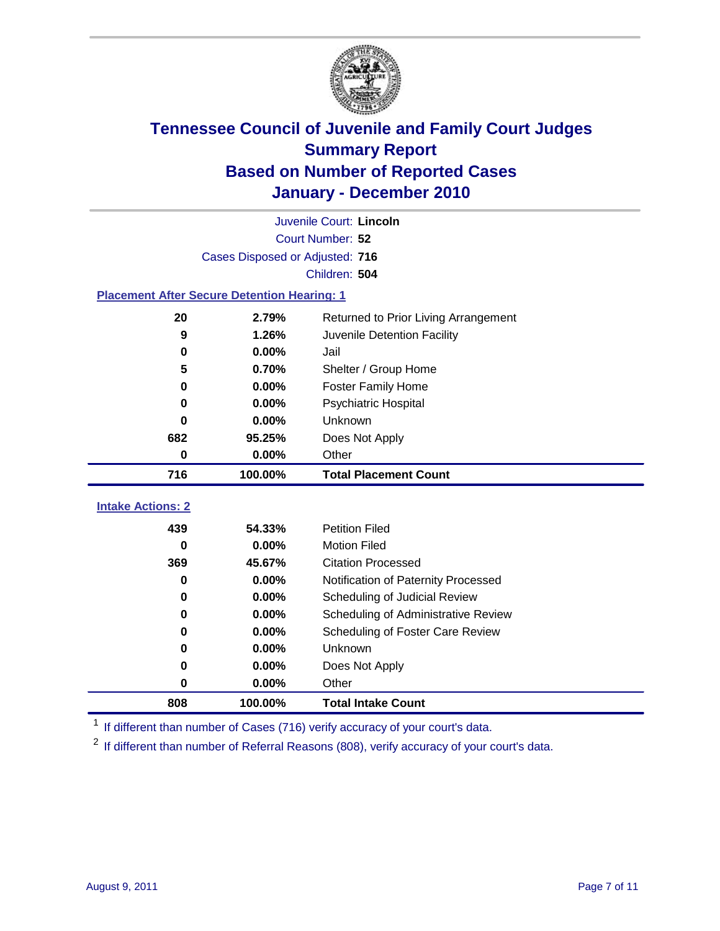

|                                                    |                                 | Juvenile Court: Lincoln              |  |  |
|----------------------------------------------------|---------------------------------|--------------------------------------|--|--|
| Court Number: 52                                   |                                 |                                      |  |  |
|                                                    | Cases Disposed or Adjusted: 716 |                                      |  |  |
|                                                    |                                 | Children: 504                        |  |  |
| <b>Placement After Secure Detention Hearing: 1</b> |                                 |                                      |  |  |
| 20                                                 | 2.79%                           | Returned to Prior Living Arrangement |  |  |
| 9                                                  | 1.26%                           | Juvenile Detention Facility          |  |  |
| 0                                                  | 0.00%                           | Jail                                 |  |  |
| 5                                                  | 0.70%                           | Shelter / Group Home                 |  |  |
| 0                                                  | 0.00%                           | <b>Foster Family Home</b>            |  |  |
| $\bf{0}$                                           | 0.00%                           | Psychiatric Hospital                 |  |  |
| 0                                                  | 0.00%                           | Unknown                              |  |  |
| 682                                                | 95.25%                          | Does Not Apply                       |  |  |
| $\pmb{0}$                                          | 0.00%                           | Other                                |  |  |
| 716                                                | 100.00%                         | <b>Total Placement Count</b>         |  |  |
|                                                    |                                 |                                      |  |  |
| <b>Intake Actions: 2</b>                           |                                 |                                      |  |  |
| 439                                                | 54.33%                          | <b>Petition Filed</b>                |  |  |
| $\bf{0}$                                           | 0.00%                           | <b>Motion Filed</b>                  |  |  |
| 369                                                | 45.67%                          | <b>Citation Processed</b>            |  |  |
| $\bf{0}$                                           | 0.00%                           | Notification of Paternity Processed  |  |  |
| $\bf{0}$                                           | 0.00%                           | Scheduling of Judicial Review        |  |  |
| 0                                                  | 0.00%                           | Scheduling of Administrative Review  |  |  |
| 0                                                  | 0.00%                           | Scheduling of Foster Care Review     |  |  |
| $\bf{0}$                                           | 0.00%                           | Unknown                              |  |  |
| 0                                                  | 0.00%                           | Does Not Apply                       |  |  |
| 0                                                  | 0.00%                           | Other                                |  |  |
| 808                                                | 100.00%                         | <b>Total Intake Count</b>            |  |  |

<sup>1</sup> If different than number of Cases (716) verify accuracy of your court's data.

<sup>2</sup> If different than number of Referral Reasons (808), verify accuracy of your court's data.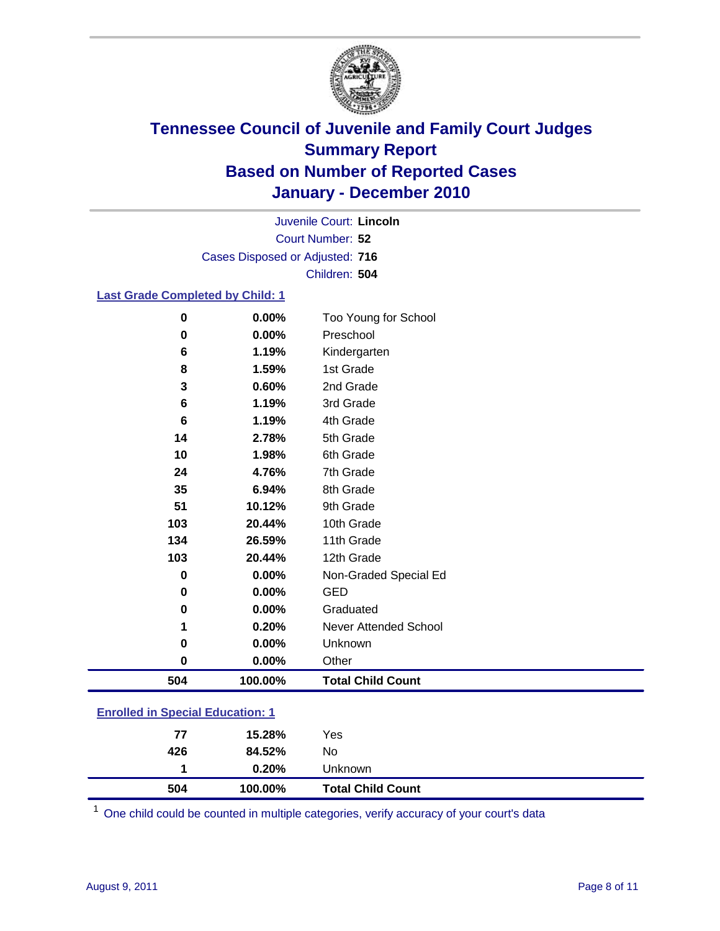

Court Number: **52** Juvenile Court: **Lincoln** Cases Disposed or Adjusted: **716** Children: **504**

### **Last Grade Completed by Child: 1**

| $\pmb{0}$                               | 0.00%    | Too Young for School         |  |
|-----------------------------------------|----------|------------------------------|--|
| 0                                       | 0.00%    | Preschool                    |  |
| 6                                       | 1.19%    | Kindergarten                 |  |
| 8                                       | 1.59%    | 1st Grade                    |  |
| 3                                       | 0.60%    | 2nd Grade                    |  |
| 6                                       | 1.19%    | 3rd Grade                    |  |
| 6                                       | 1.19%    | 4th Grade                    |  |
| 14                                      | 2.78%    | 5th Grade                    |  |
| 10                                      | 1.98%    | 6th Grade                    |  |
| 24                                      | 4.76%    | 7th Grade                    |  |
| 35                                      | 6.94%    | 8th Grade                    |  |
| 51                                      | 10.12%   | 9th Grade                    |  |
| 103                                     | 20.44%   | 10th Grade                   |  |
| 134                                     | 26.59%   | 11th Grade                   |  |
| 103                                     | 20.44%   | 12th Grade                   |  |
| 0                                       | $0.00\%$ | Non-Graded Special Ed        |  |
| 0                                       | 0.00%    | <b>GED</b>                   |  |
| 0                                       | 0.00%    | Graduated                    |  |
| 1                                       | 0.20%    | <b>Never Attended School</b> |  |
| 0                                       | 0.00%    | Unknown                      |  |
| 0                                       | $0.00\%$ | Other                        |  |
| 504                                     | 100.00%  | <b>Total Child Count</b>     |  |
| <b>Enrolled in Special Education: 1</b> |          |                              |  |

|  | <b>Enrolled in Special Equeation: 1</b> |  |
|--|-----------------------------------------|--|
|  |                                         |  |

| 504 | 100.00% | <b>Total Child Count</b> |  |
|-----|---------|--------------------------|--|
|     | 0.20%   | Unknown                  |  |
| 426 | 84.52%  | No                       |  |
| 77  | 15.28%  | Yes                      |  |

One child could be counted in multiple categories, verify accuracy of your court's data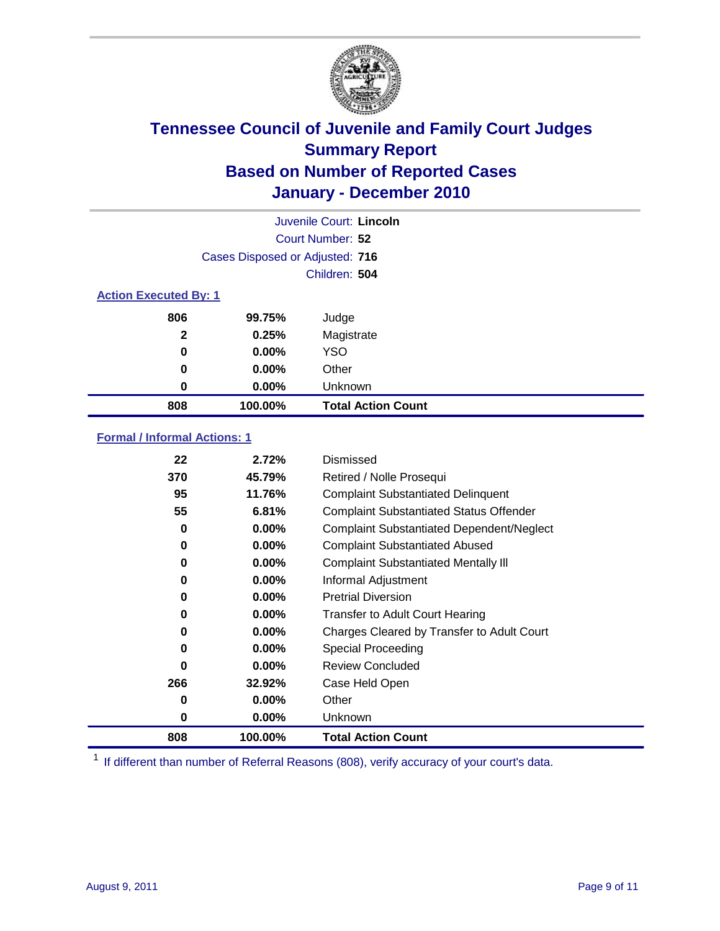

|                              |                                 | Juvenile Court: Lincoln   |
|------------------------------|---------------------------------|---------------------------|
|                              |                                 | Court Number: 52          |
|                              | Cases Disposed or Adjusted: 716 |                           |
|                              |                                 | Children: 504             |
| <b>Action Executed By: 1</b> |                                 |                           |
| 806                          | 99.75%                          | Judge                     |
| $\mathbf{2}$                 | 0.25%                           | Magistrate                |
| 0                            | $0.00\%$                        | <b>YSO</b>                |
| 0                            | 0.00%                           | Other                     |
| 0                            | 0.00%                           | Unknown                   |
| 808                          | 100.00%                         | <b>Total Action Count</b> |

### **Formal / Informal Actions: 1**

| 22  | 2.72%    | Dismissed                                        |
|-----|----------|--------------------------------------------------|
| 370 | 45.79%   | Retired / Nolle Prosequi                         |
| 95  | 11.76%   | <b>Complaint Substantiated Delinquent</b>        |
| 55  | 6.81%    | <b>Complaint Substantiated Status Offender</b>   |
| 0   | $0.00\%$ | <b>Complaint Substantiated Dependent/Neglect</b> |
| 0   | $0.00\%$ | <b>Complaint Substantiated Abused</b>            |
| 0   | $0.00\%$ | <b>Complaint Substantiated Mentally III</b>      |
| 0   | $0.00\%$ | Informal Adjustment                              |
| 0   | $0.00\%$ | <b>Pretrial Diversion</b>                        |
| 0   | $0.00\%$ | <b>Transfer to Adult Court Hearing</b>           |
| 0   | $0.00\%$ | Charges Cleared by Transfer to Adult Court       |
| 0   | $0.00\%$ | Special Proceeding                               |
| 0   | $0.00\%$ | <b>Review Concluded</b>                          |
| 266 | 32.92%   | Case Held Open                                   |
| 0   | $0.00\%$ | Other                                            |
| 0   | $0.00\%$ | <b>Unknown</b>                                   |
| 808 | 100.00%  | <b>Total Action Count</b>                        |

<sup>1</sup> If different than number of Referral Reasons (808), verify accuracy of your court's data.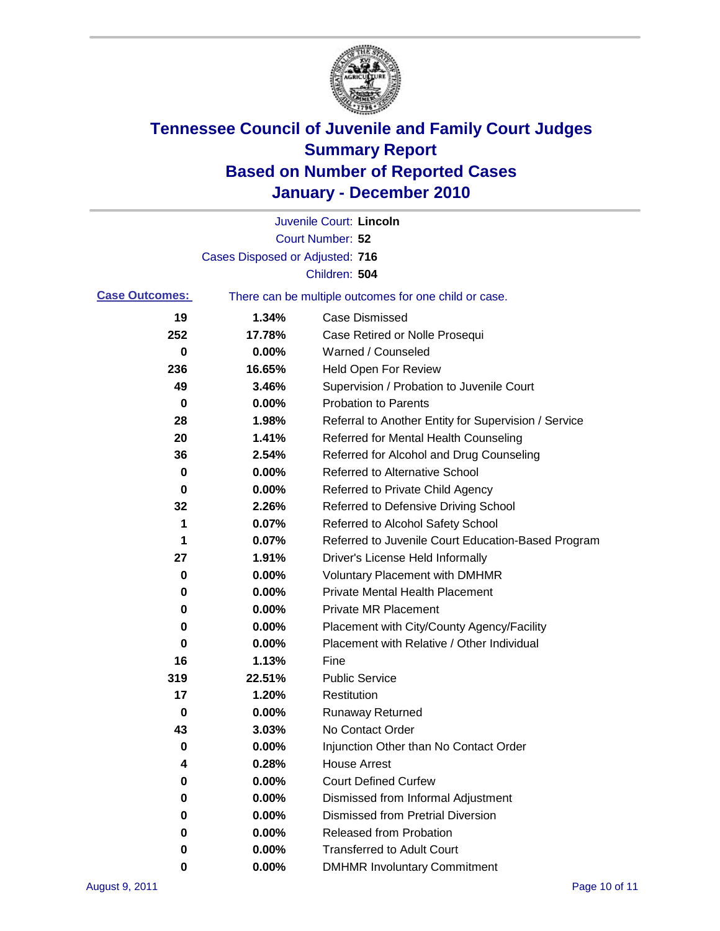

|                       |                                 | Juvenile Court: Lincoln                               |
|-----------------------|---------------------------------|-------------------------------------------------------|
|                       |                                 | Court Number: 52                                      |
|                       | Cases Disposed or Adjusted: 716 |                                                       |
|                       |                                 | Children: 504                                         |
| <b>Case Outcomes:</b> |                                 | There can be multiple outcomes for one child or case. |
| 19                    | 1.34%                           | <b>Case Dismissed</b>                                 |
| 252                   | 17.78%                          | Case Retired or Nolle Prosequi                        |
| 0                     | 0.00%                           | Warned / Counseled                                    |
| 236                   | 16.65%                          | Held Open For Review                                  |
| 49                    | 3.46%                           | Supervision / Probation to Juvenile Court             |
| 0                     | 0.00%                           | <b>Probation to Parents</b>                           |
| 28                    | 1.98%                           | Referral to Another Entity for Supervision / Service  |
| 20                    | 1.41%                           | Referred for Mental Health Counseling                 |
| 36                    | 2.54%                           | Referred for Alcohol and Drug Counseling              |
| 0                     | 0.00%                           | Referred to Alternative School                        |
| 0                     | 0.00%                           | Referred to Private Child Agency                      |
| 32                    | 2.26%                           | Referred to Defensive Driving School                  |
| 1                     | 0.07%                           | Referred to Alcohol Safety School                     |
| 1                     | 0.07%                           | Referred to Juvenile Court Education-Based Program    |
| 27                    | 1.91%                           | Driver's License Held Informally                      |
| 0                     | 0.00%                           | <b>Voluntary Placement with DMHMR</b>                 |
| 0                     | 0.00%                           | <b>Private Mental Health Placement</b>                |
| 0                     | 0.00%                           | <b>Private MR Placement</b>                           |
| 0                     | 0.00%                           | Placement with City/County Agency/Facility            |
| 0                     | 0.00%                           | Placement with Relative / Other Individual            |
| 16                    | 1.13%                           | Fine                                                  |
| 319                   | 22.51%                          | <b>Public Service</b>                                 |
| 17                    | 1.20%                           | Restitution                                           |
| 0                     | 0.00%                           | <b>Runaway Returned</b>                               |
| 43                    | 3.03%                           | No Contact Order                                      |
| 0                     | 0.00%                           | Injunction Other than No Contact Order                |
| 4                     | 0.28%                           | <b>House Arrest</b>                                   |
| 0                     | 0.00%                           | <b>Court Defined Curfew</b>                           |
| 0                     | 0.00%                           | Dismissed from Informal Adjustment                    |
| 0                     | 0.00%                           | <b>Dismissed from Pretrial Diversion</b>              |
| 0                     | 0.00%                           | Released from Probation                               |
| 0                     | 0.00%                           | <b>Transferred to Adult Court</b>                     |
| 0                     | $0.00\%$                        | <b>DMHMR Involuntary Commitment</b>                   |